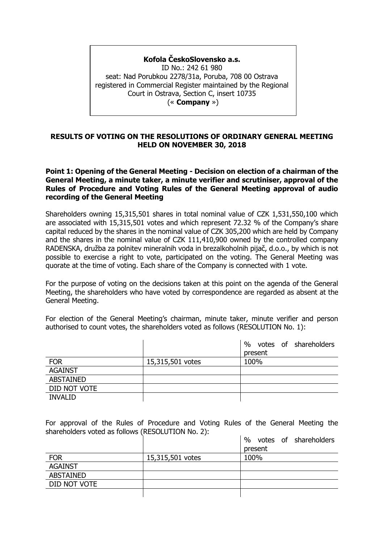## **Kofola ČeskoSlovensko a.s.**

ID No.: 242 61 980 seat: Nad Porubkou 2278/31a, Poruba, 708 00 Ostrava registered in Commercial Register maintained by the Regional Court in Ostrava, Section C, insert 10735 (« **Company** »)

#### **RESULTS OF VOTING ON THE RESOLUTIONS OF ORDINARY GENERAL MEETING HELD ON NOVEMBER 30, 2018**

#### **Point 1: Opening of the General Meeting - Decision on election of a chairman of the General Meeting, a minute taker, a minute verifier and scrutiniser, approval of the Rules of Procedure and Voting Rules of the General Meeting approval of audio recording of the General Meeting**

Shareholders owning 15,315,501 shares in total nominal value of CZK 1,531,550,100 which are associated with 15,315,501 votes and which represent 72.32 % of the Company's share capital reduced by the shares in the nominal value of CZK 305,200 which are held by Company and the shares in the nominal value of CZK 111,410,900 owned by the controlled company RADENSKA, družba za polnitev mineralnih voda in brezalkoholnih pijač, d.o.o., by which is not possible to exercise a right to vote, participated on the voting. The General Meeting was quorate at the time of voting. Each share of the Company is connected with 1 vote.

For the purpose of voting on the decisions taken at this point on the agenda of the General Meeting, the shareholders who have voted by correspondence are regarded as absent at the General Meeting.

For election of the General Meeting's chairman, minute taker, minute verifier and person authorised to count votes, the shareholders voted as follows (RESOLUTION No. 1):

|                  |                  | %<br>votes of shareholders |
|------------------|------------------|----------------------------|
|                  |                  | present                    |
| <b>FOR</b>       | 15,315,501 votes | 100%                       |
| <b>AGAINST</b>   |                  |                            |
| <b>ABSTAINED</b> |                  |                            |
| DID NOT VOTE     |                  |                            |
| <b>INVALID</b>   |                  |                            |

For approval of the Rules of Procedure and Voting Rules of the General Meeting the shareholders voted as follows (RESOLUTION No. 2):

|                  |                  | $\%$<br>votes of shareholders |
|------------------|------------------|-------------------------------|
|                  |                  | present                       |
| <b>FOR</b>       | 15,315,501 votes | 100%                          |
| <b>AGAINST</b>   |                  |                               |
| <b>ABSTAINED</b> |                  |                               |
| DID NOT VOTE     |                  |                               |
|                  |                  |                               |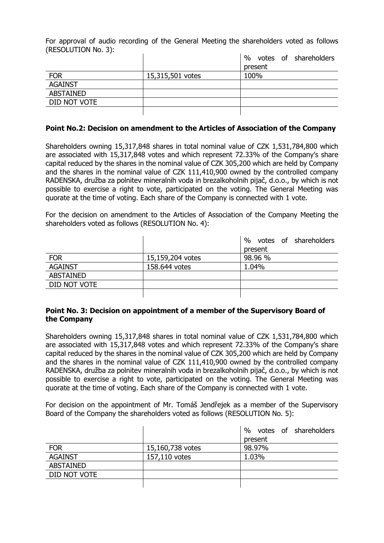For approval of audio recording of the General Meeting the shareholders voted as follows (RESOLUTION No. 3):

|                  |                  | $\%$<br>votes of shareholders |
|------------------|------------------|-------------------------------|
|                  |                  | present                       |
| <b>FOR</b>       | 15,315,501 votes | 100%                          |
| <b>AGAINST</b>   |                  |                               |
| <b>ABSTAINED</b> |                  |                               |
| DID NOT VOTE     |                  |                               |
|                  |                  |                               |

#### **Point No.2: Decision on amendment to the Articles of Association of the Company**

Shareholders owning 15,317,848 shares in total nominal value of CZK 1,531,784,800 which are associated with 15,317,848 votes and which represent 72.33% of the Company's share capital reduced by the shares in the nominal value of CZK 305,200 which are held by Company and the shares in the nominal value of CZK 111,410,900 owned by the controlled company RADENSKA, družba za polnitev mineralnih voda in brezalkoholnih pijač, d.o.o., by which is not possible to exercise a right to vote, participated on the voting. The General Meeting was quorate at the time of voting. Each share of the Company is connected with 1 vote.

For the decision on amendment to the Articles of Association of the Company Meeting the shareholders voted as follows (RESOLUTION No. 4):

|                  |                  | $\%$<br>votes of shareholders |
|------------------|------------------|-------------------------------|
|                  |                  | present                       |
| <b>FOR</b>       | 15,159,204 votes | 98.96 %                       |
| <b>AGAINST</b>   | 158.644 votes    | 1.04%                         |
| <b>ABSTAINED</b> |                  |                               |
| DID NOT VOTE     |                  |                               |
|                  |                  |                               |

#### **Point No. 3: Decision on appointment of a member of the Supervisory Board of the Company**

Shareholders owning 15,317,848 shares in total nominal value of CZK 1,531,784,800 which are associated with 15,317,848 votes and which represent 72.33% of the Company's share capital reduced by the shares in the nominal value of CZK 305,200 which are held by Company and the shares in the nominal value of CZK 111,410,900 owned by the controlled company RADENSKA, družba za polnitev mineralnih voda in brezalkoholnih pijač, d.o.o., by which is not possible to exercise a right to vote, participated on the voting. The General Meeting was quorate at the time of voting. Each share of the Company is connected with 1 vote.

For decision on the appointment of Mr. Tomáš Jendřejek as a member of the Supervisory Board of the Company the shareholders voted as follows (RESOLUTION No. 5):

|                  |                  | votes of shareholders<br>$\%$ |
|------------------|------------------|-------------------------------|
|                  |                  | present                       |
| <b>FOR</b>       | 15,160,738 votes | 98.97%                        |
| <b>AGAINST</b>   | 157,110 votes    | 1.03%                         |
| <b>ABSTAINED</b> |                  |                               |
| DID NOT VOTE     |                  |                               |
|                  |                  |                               |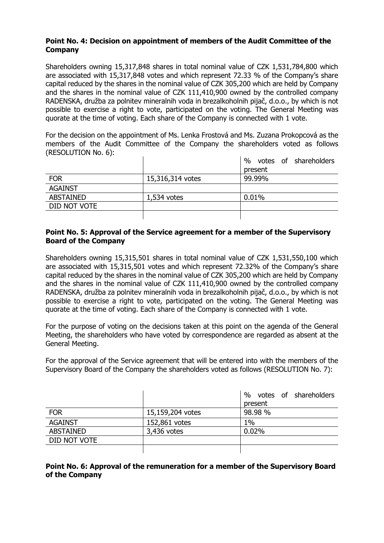# **Point No. 4: Decision on appointment of members of the Audit Committee of the Company**

Shareholders owning 15,317,848 shares in total nominal value of CZK 1,531,784,800 which are associated with 15,317,848 votes and which represent 72.33 % of the Company's share capital reduced by the shares in the nominal value of CZK 305,200 which are held by Company and the shares in the nominal value of CZK 111,410,900 owned by the controlled company RADENSKA, družba za polnitev mineralnih voda in brezalkoholnih pijač, d.o.o., by which is not possible to exercise a right to vote, participated on the voting. The General Meeting was quorate at the time of voting. Each share of the Company is connected with 1 vote.

For the decision on the appointment of Ms. Lenka Frostová and Ms. Zuzana Prokopcová as the members of the Audit Committee of the Company the shareholders voted as follows (RESOLUTION No. 6):

|                |                  | votes of shareholders<br>% |
|----------------|------------------|----------------------------|
|                |                  | present                    |
| <b>FOR</b>     | 15,316,314 votes | 99.99%                     |
| <b>AGAINST</b> |                  |                            |
| ABSTAINED      | $1,534$ votes    | 0.01%                      |
| DID NOT VOTE   |                  |                            |
|                |                  |                            |

## **Point No. 5: Approval of the Service agreement for a member of the Supervisory Board of the Company**

Shareholders owning 15,315,501 shares in total nominal value of CZK 1,531,550,100 which are associated with 15,315,501 votes and which represent 72.32% of the Company's share capital reduced by the shares in the nominal value of CZK 305,200 which are held by Company and the shares in the nominal value of CZK 111,410,900 owned by the controlled company RADENSKA, družba za polnitev mineralnih voda in brezalkoholnih pijač, d.o.o., by which is not possible to exercise a right to vote, participated on the voting. The General Meeting was quorate at the time of voting. Each share of the Company is connected with 1 vote.

For the purpose of voting on the decisions taken at this point on the agenda of the General Meeting, the shareholders who have voted by correspondence are regarded as absent at the General Meeting.

For the approval of the Service agreement that will be entered into with the members of the Supervisory Board of the Company the shareholders voted as follows (RESOLUTION No. 7):

|                  |                  | %<br>votes of shareholders |
|------------------|------------------|----------------------------|
|                  |                  | present                    |
| <b>FOR</b>       | 15,159,204 votes | 98.98 %                    |
| <b>AGAINST</b>   | 152,861 votes    | 1%                         |
| <b>ABSTAINED</b> | 3,436 votes      | 0.02%                      |
| DID NOT VOTE     |                  |                            |
|                  |                  |                            |

## **Point No. 6: Approval of the remuneration for a member of the Supervisory Board of the Company**